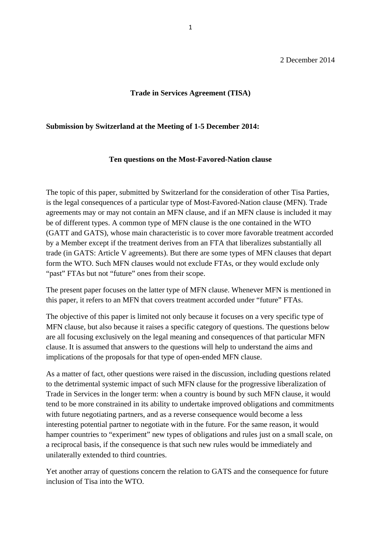# 2 December 2014

## **Trade in Services Agreement (TISA)**

### **Submission by Switzerland at the Meeting of 1-5 December 2014:**

### **Ten questions on the Most-Favored-Nation clause**

The topic of this paper, submitted by Switzerland for the consideration of other Tisa Parties, is the legal consequences of a particular type of Most-Favored-Nation clause (MFN). Trade agreements may or may not contain an MFN clause, and if an MFN clause is included it may be of different types. A common type of MFN clause is the one contained in the WTO (GATT and GATS), whose main characteristic is to cover more favorable treatment accorded by a Member except if the treatment derives from an FTA that liberalizes substantially all trade (in GATS: Article V agreements). But there are some types of MFN clauses that depart form the WTO. Such MFN clauses would not exclude FTAs, or they would exclude only "past" FTAs but not "future" ones from their scope.

The present paper focuses on the latter type of MFN clause. Whenever MFN is mentioned in this paper, it refers to an MFN that covers treatment accorded under "future" FTAs.

The objective of this paper is limited not only because it focuses on a very specific type of MFN clause, but also because it raises a specific category of questions. The questions below are all focusing exclusively on the legal meaning and consequences of that particular MFN clause. It is assumed that answers to the questions will help to understand the aims and implications of the proposals for that type of open-ended MFN clause.

As a matter of fact, other questions were raised in the discussion, including questions related to the detrimental systemic impact of such MFN clause for the progressive liberalization of Trade in Services in the longer term: when a country is bound by such MFN clause, it would tend to be more constrained in its ability to undertake improved obligations and commitments with future negotiating partners, and as a reverse consequence would become a less interesting potential partner to negotiate with in the future. For the same reason, it would hamper countries to "experiment" new types of obligations and rules just on a small scale, on a reciprocal basis, if the consequence is that such new rules would be immediately and unilaterally extended to third countries.

Yet another array of questions concern the relation to GATS and the consequence for future inclusion of Tisa into the WTO.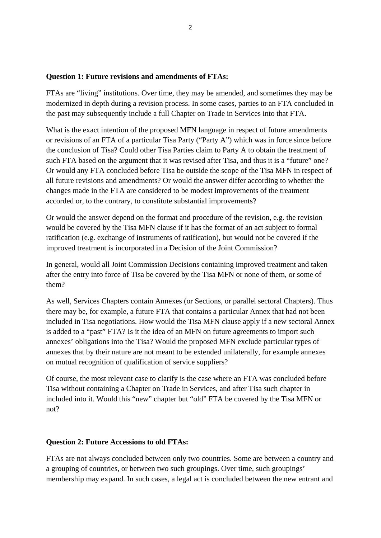### **Question 1: Future revisions and amendments of FTAs:**

FTAs are "living" institutions. Over time, they may be amended, and sometimes they may be modernized in depth during a revision process. In some cases, parties to an FTA concluded in the past may subsequently include a full Chapter on Trade in Services into that FTA.

What is the exact intention of the proposed MFN language in respect of future amendments or revisions of an FTA of a particular Tisa Party ("Party A") which was in force since before the conclusion of Tisa? Could other Tisa Parties claim to Party A to obtain the treatment of such FTA based on the argument that it was revised after Tisa, and thus it is a "future" one? Or would any FTA concluded before Tisa be outside the scope of the Tisa MFN in respect of all future revisions and amendments? Or would the answer differ according to whether the changes made in the FTA are considered to be modest improvements of the treatment accorded or, to the contrary, to constitute substantial improvements?

Or would the answer depend on the format and procedure of the revision, e.g. the revision would be covered by the Tisa MFN clause if it has the format of an act subject to formal ratification (e.g. exchange of instruments of ratification), but would not be covered if the improved treatment is incorporated in a Decision of the Joint Commission?

In general, would all Joint Commission Decisions containing improved treatment and taken after the entry into force of Tisa be covered by the Tisa MFN or none of them, or some of them?

As well, Services Chapters contain Annexes (or Sections, or parallel sectoral Chapters). Thus there may be, for example, a future FTA that contains a particular Annex that had not been included in Tisa negotiations. How would the Tisa MFN clause apply if a new sectoral Annex is added to a "past" FTA? Is it the idea of an MFN on future agreements to import such annexes' obligations into the Tisa? Would the proposed MFN exclude particular types of annexes that by their nature are not meant to be extended unilaterally, for example annexes on mutual recognition of qualification of service suppliers?

Of course, the most relevant case to clarify is the case where an FTA was concluded before Tisa without containing a Chapter on Trade in Services, and after Tisa such chapter in included into it. Would this "new" chapter but "old" FTA be covered by the Tisa MFN or not?

### **Question 2: Future Accessions to old FTAs:**

FTAs are not always concluded between only two countries. Some are between a country and a grouping of countries, or between two such groupings. Over time, such groupings' membership may expand. In such cases, a legal act is concluded between the new entrant and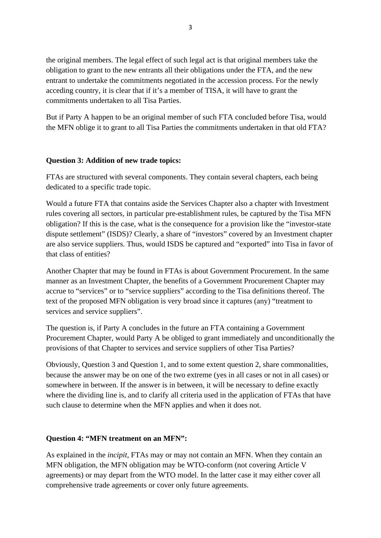the original members. The legal effect of such legal act is that original members take the obligation to grant to the new entrants all their obligations under the FTA, and the new entrant to undertake the commitments negotiated in the accession process. For the newly acceding country, it is clear that if it's a member of TISA, it will have to grant the commitments undertaken to all Tisa Parties.

But if Party A happen to be an original member of such FTA concluded before Tisa, would the MFN oblige it to grant to all Tisa Parties the commitments undertaken in that old FTA?

# **Question 3: Addition of new trade topics:**

FTAs are structured with several components. They contain several chapters, each being dedicated to a specific trade topic.

Would a future FTA that contains aside the Services Chapter also a chapter with Investment rules covering all sectors, in particular pre-establishment rules, be captured by the Tisa MFN obligation? If this is the case, what is the consequence for a provision like the "investor-state dispute settlement" (ISDS)? Clearly, a share of "investors" covered by an Investment chapter are also service suppliers. Thus, would ISDS be captured and "exported" into Tisa in favor of that class of entities?

Another Chapter that may be found in FTAs is about Government Procurement. In the same manner as an Investment Chapter, the benefits of a Government Procurement Chapter may accrue to "services" or to "service suppliers" according to the Tisa definitions thereof. The text of the proposed MFN obligation is very broad since it captures (any) "treatment to services and service suppliers".

The question is, if Party A concludes in the future an FTA containing a Government Procurement Chapter, would Party A be obliged to grant immediately and unconditionally the provisions of that Chapter to services and service suppliers of other Tisa Parties?

Obviously, Question 3 and Question 1, and to some extent question 2, share commonalities, because the answer may be on one of the two extreme (yes in all cases or not in all cases) or somewhere in between. If the answer is in between, it will be necessary to define exactly where the dividing line is, and to clarify all criteria used in the application of FTAs that have such clause to determine when the MFN applies and when it does not.

# **Question 4: "MFN treatment on an MFN":**

As explained in the *incipit*, FTAs may or may not contain an MFN. When they contain an MFN obligation, the MFN obligation may be WTO-conform (not covering Article V agreements) or may depart from the WTO model. In the latter case it may either cover all comprehensive trade agreements or cover only future agreements.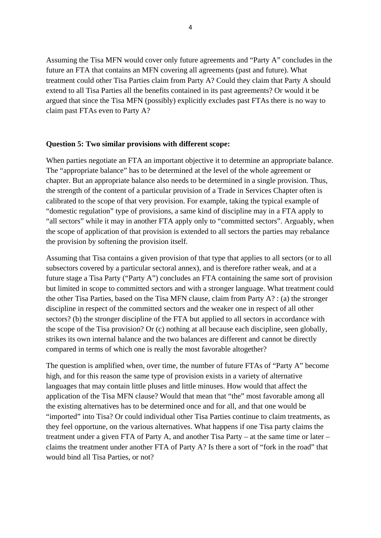Assuming the Tisa MFN would cover only future agreements and "Party A" concludes in the future an FTA that contains an MFN covering all agreements (past and future). What treatment could other Tisa Parties claim from Party A? Could they claim that Party A should extend to all Tisa Parties all the benefits contained in its past agreements? Or would it be argued that since the Tisa MFN (possibly) explicitly excludes past FTAs there is no way to claim past FTAs even to Party A?

### **Question 5: Two similar provisions with different scope:**

When parties negotiate an FTA an important objective it to determine an appropriate balance. The "appropriate balance" has to be determined at the level of the whole agreement or chapter. But an appropriate balance also needs to be determined in a single provision. Thus, the strength of the content of a particular provision of a Trade in Services Chapter often is calibrated to the scope of that very provision. For example, taking the typical example of "domestic regulation" type of provisions, a same kind of discipline may in a FTA apply to "all sectors" while it may in another FTA apply only to "committed sectors". Arguably, when the scope of application of that provision is extended to all sectors the parties may rebalance the provision by softening the provision itself.

Assuming that Tisa contains a given provision of that type that applies to all sectors (or to all subsectors covered by a particular sectoral annex), and is therefore rather weak, and at a future stage a Tisa Party ("Party A") concludes an FTA containing the same sort of provision but limited in scope to committed sectors and with a stronger language. What treatment could the other Tisa Parties, based on the Tisa MFN clause, claim from Party A? : (a) the stronger discipline in respect of the committed sectors and the weaker one in respect of all other sectors? (b) the stronger discipline of the FTA but applied to all sectors in accordance with the scope of the Tisa provision? Or (c) nothing at all because each discipline, seen globally, strikes its own internal balance and the two balances are different and cannot be directly compared in terms of which one is really the most favorable altogether?

The question is amplified when, over time, the number of future FTAs of "Party A" become high, and for this reason the same type of provision exists in a variety of alternative languages that may contain little pluses and little minuses. How would that affect the application of the Tisa MFN clause? Would that mean that "the" most favorable among all the existing alternatives has to be determined once and for all, and that one would be "imported" into Tisa? Or could individual other Tisa Parties continue to claim treatments, as they feel opportune, on the various alternatives. What happens if one Tisa party claims the treatment under a given FTA of Party A, and another Tisa Party – at the same time or later – claims the treatment under another FTA of Party A? Is there a sort of "fork in the road" that would bind all Tisa Parties, or not?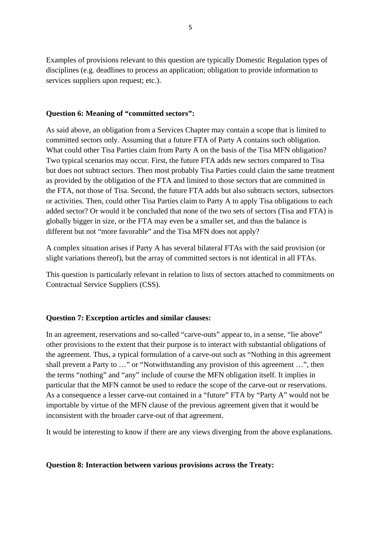Examples of provisions relevant to this question are typically Domestic Regulation types of disciplines (e.g. deadlines to process an application; obligation to provide information to services suppliers upon request; etc.).

## **Question 6: Meaning of "committed sectors":**

As said above, an obligation from a Services Chapter may contain a scope that is limited to committed sectors only. Assuming that a future FTA of Party A contains such obligation. What could other Tisa Parties claim from Party A on the basis of the Tisa MFN obligation? Two typical scenarios may occur. First, the future FTA adds new sectors compared to Tisa but does not subtract sectors. Then most probably Tisa Parties could claim the same treatment as provided by the obligation of the FTA and limited to those sectors that are committed in the FTA, not those of Tisa. Second, the future FTA adds but also subtracts sectors, subsectors or activities. Then, could other Tisa Parties claim to Party A to apply Tisa obligations to each added sector? Or would it be concluded that none of the two sets of sectors (Tisa and FTA) is globally bigger in size, or the FTA may even be a smaller set, and thus the balance is different but not "more favorable" and the Tisa MFN does not apply?

A complex situation arises if Party A has several bilateral FTAs with the said provision (or slight variations thereof), but the array of committed sectors is not identical in all FTAs.

This question is particularly relevant in relation to lists of sectors attached to commitments on Contractual Service Suppliers (CSS).

## **Question 7: Exception articles and similar clauses:**

In an agreement, reservations and so-called "carve-outs" appear to, in a sense, "lie above" other provisions to the extent that their purpose is to interact with substantial obligations of the agreement. Thus, a typical formulation of a carve-out such as "Nothing in this agreement shall prevent a Party to …" or "Notwithstanding any provision of this agreement …", then the terms "nothing" and "any" include of course the MFN obligation itself. It implies in particular that the MFN cannot be used to reduce the scope of the carve-out or reservations. As a consequence a lesser carve-out contained in a "future" FTA by "Party A" would not be importable by virtue of the MFN clause of the previous agreement given that it would be inconsistent with the broader carve-out of that agreement.

It would be interesting to know if there are any views diverging from the above explanations.

## **Question 8: Interaction between various provisions across the Treaty:**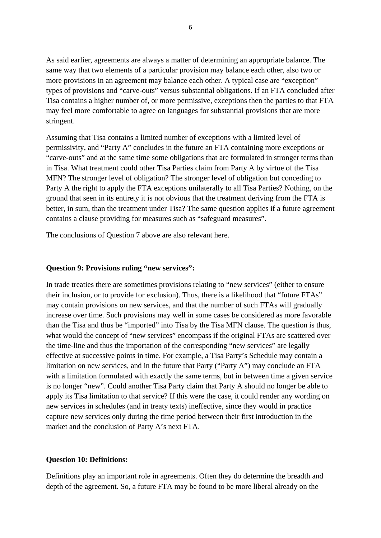As said earlier, agreements are always a matter of determining an appropriate balance. The same way that two elements of a particular provision may balance each other, also two or more provisions in an agreement may balance each other. A typical case are "exception" types of provisions and "carve-outs" versus substantial obligations. If an FTA concluded after Tisa contains a higher number of, or more permissive, exceptions then the parties to that FTA may feel more comfortable to agree on languages for substantial provisions that are more stringent.

Assuming that Tisa contains a limited number of exceptions with a limited level of permissivity, and "Party A" concludes in the future an FTA containing more exceptions or "carve-outs" and at the same time some obligations that are formulated in stronger terms than in Tisa. What treatment could other Tisa Parties claim from Party A by virtue of the Tisa MFN? The stronger level of obligation? The stronger level of obligation but conceding to Party A the right to apply the FTA exceptions unilaterally to all Tisa Parties? Nothing, on the ground that seen in its entirety it is not obvious that the treatment deriving from the FTA is better, in sum, than the treatment under Tisa? The same question applies if a future agreement contains a clause providing for measures such as "safeguard measures".

The conclusions of Question 7 above are also relevant here.

### **Question 9: Provisions ruling "new services":**

In trade treaties there are sometimes provisions relating to "new services" (either to ensure their inclusion, or to provide for exclusion). Thus, there is a likelihood that "future FTAs" may contain provisions on new services, and that the number of such FTAs will gradually increase over time. Such provisions may well in some cases be considered as more favorable than the Tisa and thus be "imported" into Tisa by the Tisa MFN clause. The question is thus, what would the concept of "new services" encompass if the original FTAs are scattered over the time-line and thus the importation of the corresponding "new services" are legally effective at successive points in time. For example, a Tisa Party's Schedule may contain a limitation on new services, and in the future that Party ("Party A") may conclude an FTA with a limitation formulated with exactly the same terms, but in between time a given service is no longer "new". Could another Tisa Party claim that Party A should no longer be able to apply its Tisa limitation to that service? If this were the case, it could render any wording on new services in schedules (and in treaty texts) ineffective, since they would in practice capture new services only during the time period between their first introduction in the market and the conclusion of Party A's next FTA.

### **Question 10: Definitions:**

Definitions play an important role in agreements. Often they do determine the breadth and depth of the agreement. So, a future FTA may be found to be more liberal already on the